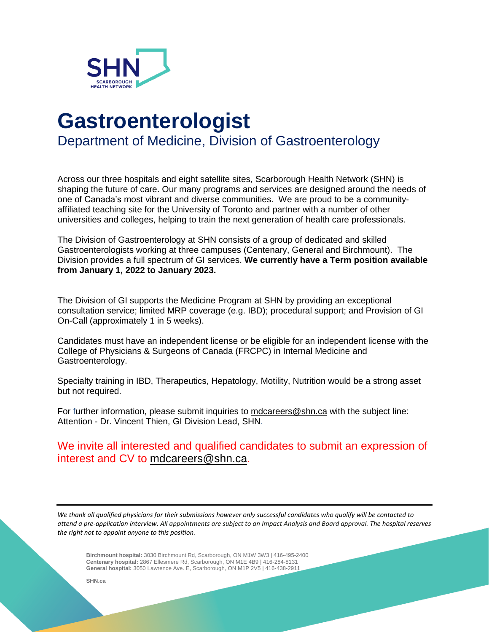

## **Gastroenterologist**

Department of Medicine, Division of Gastroenterology

Across our three hospitals and eight satellite sites, Scarborough Health Network (SHN) is shaping the future of care. Our many programs and services are designed around the needs of one of Canada's most vibrant and diverse communities. We are proud to be a communityaffiliated teaching site for the University of Toronto and partner with a number of other universities and colleges, helping to train the next generation of health care professionals.

The Division of Gastroenterology at SHN consists of a group of dedicated and skilled Gastroenterologists working at three campuses (Centenary, General and Birchmount). The Division provides a full spectrum of GI services. **We currently have a Term position available from January 1, 2022 to January 2023.**

The Division of GI supports the Medicine Program at SHN by providing an exceptional consultation service; limited MRP coverage (e.g. IBD); procedural support; and Provision of GI On-Call (approximately 1 in 5 weeks).

Candidates must have an independent license or be eligible for an independent license with the College of Physicians & Surgeons of Canada (FRCPC) in Internal Medicine and Gastroenterology.

Specialty training in IBD, Therapeutics, Hepatology, Motility, Nutrition would be a strong asset but not required.

For further information, please submit inquiries to [mdcareers@shn.ca](mailto:mdcareers@shn.ca) with the subject line: Attention - Dr. Vincent Thien, GI Division Lead, SHN.

We invite all interested and qualified candidates to submit an expression of interest and CV to [mdcareers@shn.ca.](mailto:mdcareers@shn.ca)

We thank all qualified physicians for their submissions however only successful candidates who qualify will be contacted to attend a pre-application interview. All appointments are subject to an Impact Analysis and Board approval. The hospital reserves *the right not to appoint anyone to this position.*

**Birchmount hospital:** 3030 Birchmount Rd, Scarborough, ON M1W 3W3 | 416-495-2400 **Centenary hospital:** 2867 Ellesmere Rd, Scarborough, ON M1E 4B9 | 416-284-8131  **General hospital:** 3050 Lawrence Ave. E, Scarborough, ON M1P 2V5 | 416-438-2911

 **SHN.ca**